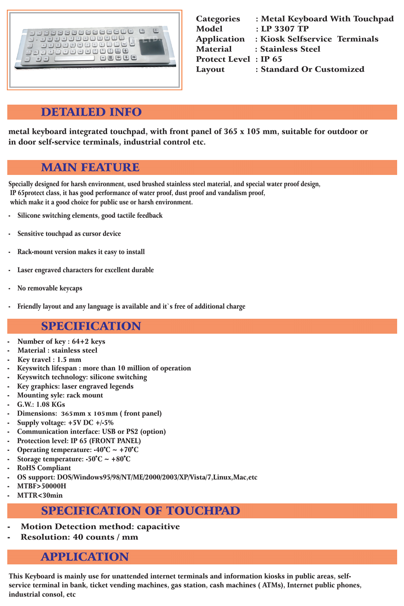# DETAILED INFO

| <b>Categories</b>            | : Metal Keyboard With Touchpad |
|------------------------------|--------------------------------|
| <b>Model</b>                 | : LP 3307 TP                   |
| <b>Application</b>           | : Kiosk Selfservice Terminals  |
| <b>Material</b>              | : Stainless Steel              |
| <b>Protect Level : IP 65</b> |                                |
| Layout                       | : Standard Or Customized       |
|                              |                                |

#### MAIN FEATURE

### SPECIFICATION

- Number of key : 64+2 keys
- Material : stainless steel
- Key travel : 1.5 mm
- Keyswitch lifespan : more than 10 million of operation
- Keyswitch technology: silicone switching
- Key graphics: laser engraved legends
- Mounting syle: rack mount
- G.W.: 1.08 KGs
- Dimensions: 365 mm x 105 mm (front panel)
- 
- Supply voltage:  $+5V$  DC  $+/-5\%$
- Communication interface: USB or PS2 (option)
- Protection level: IP 65 (FRONT PANEL)
- Operating temperature:  $-40^{\circ}C \sim +70^{\circ}C$
- Storage temperature:  $-50^{\circ}$ C ~  $+80^{\circ}$ C
- RoHS Compliant
- OS support: DOS/Windows95/98/NT/ME/2000/2003/XP/Vista/7,Linux,Mac,etc
- MTBF>50000H
- MTTR<30min

# SPECIFICATION OF TOUCHPAD

- **Motion Detection method: capacitive**
- Resolution: 40 counts / mm

Specially designed for harsh environment, used brushed stainless steel material, and special water proof design, IP 65protect class, it has good performance of water proof, dust proof and vandalism proof, which make it a good choice for public use or harsh environment.

- Silicone switching elements, good tactile feedback
- Sensitive touchpad as cursor device
- Rack-mount version makes it easy to install
- Laser engraved characters for excellent durable
- No removable keycaps
- Friendly layout and any language is available and it's free of additional charge

### APPLICATION

This Keyboard is mainly use for unattended internet terminals and information kiosks in public areas, selfservice terminal in bank, ticket vending machines, gas station, cash machines ( ATMs), Internet public phones, industrial consol, etc

metal keyboard integrated touchpad, with front panel of 365 x 105 mm, suitable for outdoor or in door self-service terminals, industrial control etc.